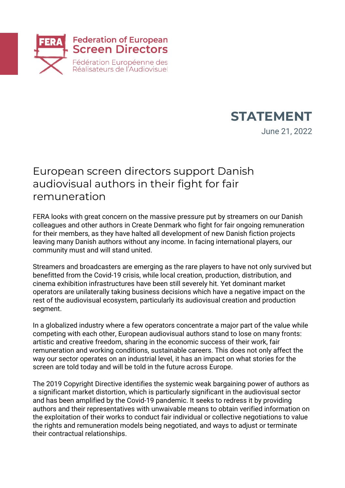



June 21, 2022

## European screen directors support Danish audiovisual authors in their fight for fair remuneration

FERA looks with great concern on the massive pressure put by streamers on our Danish colleagues and other authors in Create Denmark who fight for fair ongoing remuneration for their members, as they have halted all development of new Danish fiction projects leaving many Danish authors without any income. In facing international players, our community must and will stand united.

Streamers and broadcasters are emerging as the rare players to have not only survived but benefitted from the Covid-19 crisis, while local creation, production, distribution, and cinema exhibition infrastructures have been still severely hit. Yet dominant market operators are unilaterally taking business decisions which have a negative impact on the rest of the audiovisual ecosystem, particularly its audiovisual creation and production segment.

In a globalized industry where a few operators concentrate a major part of the value while competing with each other, European audiovisual authors stand to lose on many fronts: artistic and creative freedom, sharing in the economic success of their work, fair remuneration and working conditions, sustainable careers. This does not only affect the way our sector operates on an industrial level, it has an impact on what stories for the screen are told today and will be told in the future across Europe.

The 2019 Copyright Directive identifies the systemic weak bargaining power of authors as a significant market distortion, which is particularly significant in the audiovisual sector and has been amplified by the Covid-19 pandemic. It seeks to redress it by providing authors and their representatives with unwaivable means to obtain verified information on the exploitation of their works to conduct fair individual or collective negotiations to value the rights and remuneration models being negotiated, and ways to adjust or terminate their contractual relationships.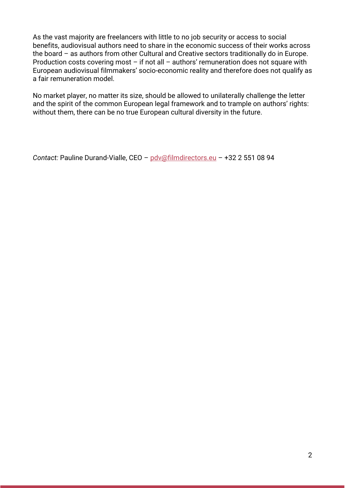As the vast majority are freelancers with little to no job security or access to social benefits, audiovisual authors need to share in the economic success of their works across the board – as authors from other Cultural and Creative sectors traditionally do in Europe. Production costs covering most – if not all – authors' remuneration does not square with European audiovisual filmmakers' socio-economic reality and therefore does not qualify as a fair remuneration model.

No market player, no matter its size, should be allowed to unilaterally challenge the letter and the spirit of the common European legal framework and to trample on authors' rights: without them, there can be no true European cultural diversity in the future.

```
Contact: Pauline Durand-Vialle, CEO – pdv@filmdirectors.eu – +32 2 551 08 94
```